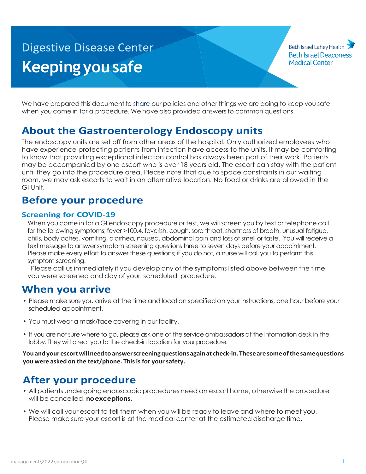# **Digestive Disease Center Keeping you safe**

Beth Israel Lahey Health **Beth Israel Deaconess Medical Center** 

We have prepared this document to share our policies and other things we are doing to keep you safe when you come in for a procedure. We have also provided answers to common questions.

## **About the Gastroenterology Endoscopy units**

The endoscopy units are set off from other areas of the hospital. Only authorized employees who have experience protecting patients from infection have access to the units. It may be comforting to know that providing exceptional infection control has always been part of their work. Patients may be accompanied by one escort who is over 18 years old. The escort can stay with the patient until they go into the procedure area. Please note that due to space constraints in our waiting room, we may ask escorts to wait in an alternative location. No food or drinks are allowed in the GI Unit.

#### **Before your procedure**

#### **Screening for COVID-19**

When you come in for a GI endoscopy procedure or test, we will screen you by text or telephone call for the following symptoms; fever >100.4, feverish, cough, sore throat, shortness of breath, unusual fatigue, chills, body aches, vomiting, diarrhea, nausea, abdominal pain and loss of smell or taste. You will receive a text message to answer symptom screening questions three to seven days before your appointment. Please make every effort to answer these questions; if you do not, a nurse will call you to perform this symptom screening.

Please call us immediately if you develop any of the symptoms listed above between the time you were screened and day of your scheduled procedure.

#### **When you arrive**

- Please make sure you arrive at the time and location specified on your instructions, one hour before your scheduled appointment.
- You must wear a mask/face covering in our facility.
- If you are not sure where to go, please ask one of the service ambassadors at the information desk in the lobby. They will direct you to the check-in location for your procedure.

**You and your escort will need toanswer screening questions again at check-in. These are some ofthe same questions you were asked on the text/phone. This is for your safety.**

## **After your procedure**

- All patients undergoing endoscopic procedures need an escort home, otherwise the procedure will be cancelled, **noexceptions.**
- We will call your escort to tell them when you will be ready to leave and where to meet you. Please make sure your escort is at the medical center at the estimated discharge time.